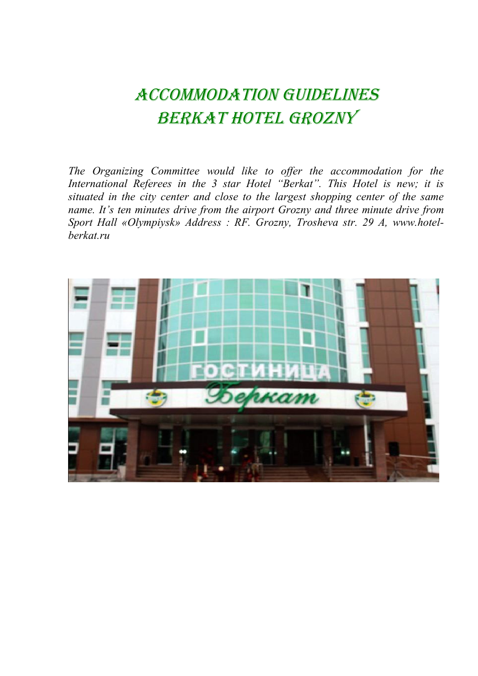# *ACCOMMODATION GUIDELINES BErkAT hOTEL GrOzNy*

*The Organizing Committee would like to offer the accommodation for the International Referees in the 3 star Hotel "Berkat". This Hotel is new; it is situated in the city center and close to the largest shopping center of the same name. It's ten minutes drive from the airport Grozny and three minute drive from Sport Hall «Olympiysk» Address : RF. Grozny, Trosheva str. 29 A, www.hotelberkat.ru*

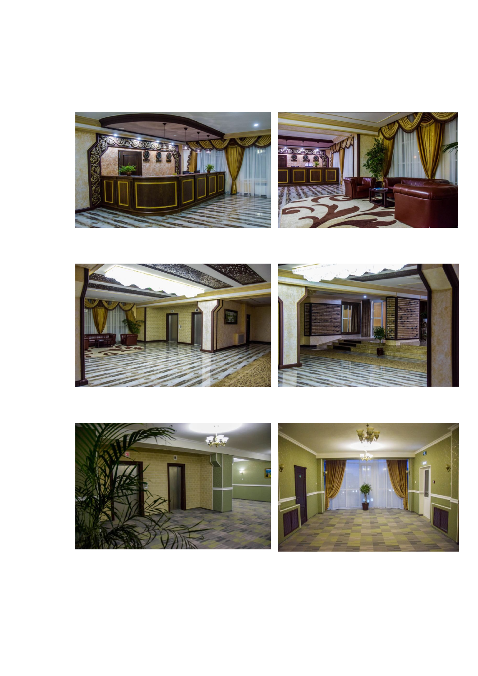







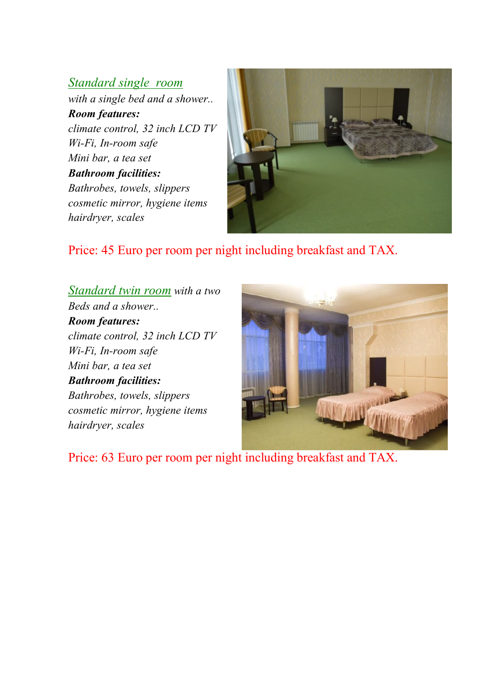# *Standard single room*

*with a single bed and a shower.. Room features: climate control, 32 inch LCD TV Wi-Fi, In-room safe Mini bar, a tea set Bathroom facilities: Bathrobes, towels, slippers cosmetic mirror, hygiene items hairdryer, scales*



## Price: 45 Euro per room per night including breakfast and TAX.

*Standard twin room with a two Beds and a shower.. Room features: climate control, 32 inch LCD TV Wi-Fi, In-room safe Mini bar, a tea set Bathroom facilities: Bathrobes, towels, slippers cosmetic mirror, hygiene items hairdryer, scales*



Price: 63 Euro per room per night including breakfast and TAX.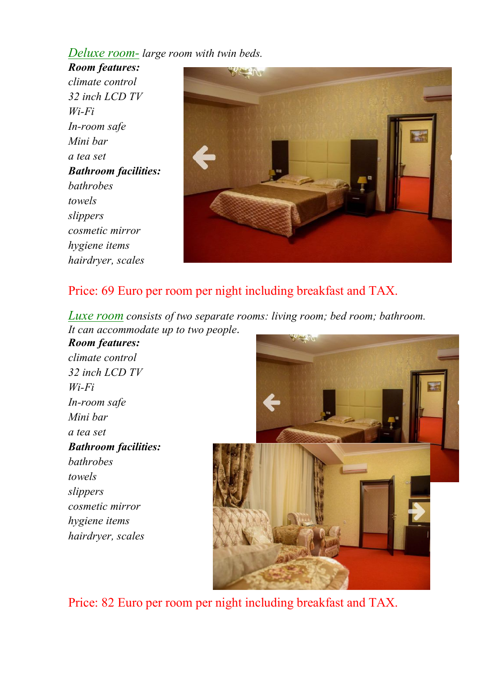#### *Deluxe room- large room with twin beds.*

*Room features: climate control 32 inch LCD TV Wi-Fi In-room safe Mini bar a tea set Bathroom facilities: bathrobes towels slippers cosmetic mirror hygiene items hairdryer, scales*



# Price: 69 Euro per room per night including breakfast and TAX.

*Luxe room consists of two separate rooms: living room; bed room; bathroom.*

*It can accommodate up to two people. Room features: climate control 32 inch LCD TV Wi-Fi In-room safe Mini bar a tea set Bathroom facilities: bathrobes towels slippers cosmetic mirror hygiene items hairdryer, scales*



Price: 82 Euro per room per night including breakfast and TAX.